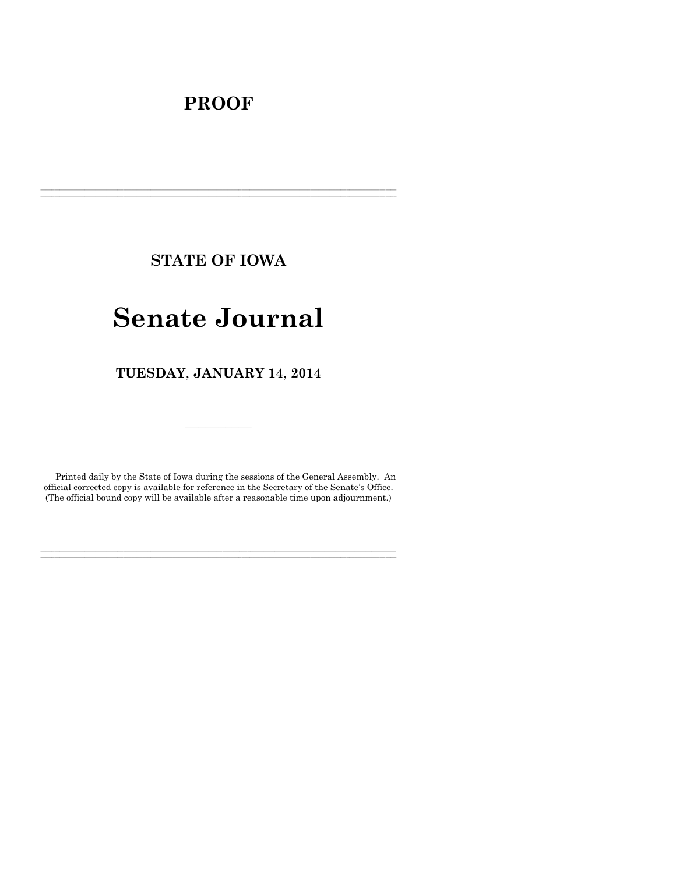# **PROOF**

**STATE OF IOWA**

**\_\_\_\_\_\_\_\_\_\_\_\_\_\_\_\_\_\_\_\_\_\_\_\_\_\_\_\_\_\_\_\_\_\_\_\_\_\_\_\_\_\_\_\_\_\_\_\_\_\_\_\_\_\_\_\_\_\_\_\_\_\_\_\_\_\_\_\_\_\_\_\_\_\_\_\_\_\_\_\_\_\_\_\_\_\_\_\_\_\_\_\_\_\_\_\_\_\_\_\_\_\_\_\_\_\_\_\_\_\_\_\_\_\_\_\_\_\_\_\_\_\_\_\_\_\_\_\_\_ \_\_\_\_\_\_\_\_\_\_\_\_\_\_\_\_\_\_\_\_\_\_\_\_\_\_\_\_\_\_\_\_\_\_\_\_\_\_\_\_\_\_\_\_\_\_\_\_\_\_\_\_\_\_\_\_\_\_\_\_\_\_\_\_\_\_\_\_\_\_\_\_\_\_\_\_\_\_\_\_\_\_\_\_\_\_\_\_\_\_\_\_\_\_\_\_\_\_\_\_\_\_\_\_\_\_\_\_\_\_\_\_\_\_\_\_\_\_\_\_\_\_\_\_\_\_\_\_\_**

# **Senate Journal**

**TUESDAY**, **JANUARY 14**, **2014**

Printed daily by the State of Iowa during the sessions of the General Assembly. An official corrected copy is available for reference in the Secretary of the Senate's Office. (The official bound copy will be available after a reasonable time upon adjournment.)

**\_\_\_\_\_\_\_\_\_\_\_\_\_\_\_\_\_\_\_\_\_\_\_\_\_\_\_\_\_\_\_\_\_\_\_\_\_\_\_\_\_\_\_\_\_\_\_\_\_\_\_\_\_\_\_\_\_\_\_\_\_\_\_\_\_\_\_\_\_\_\_\_\_\_\_\_\_\_\_\_\_\_\_\_\_\_\_\_\_\_\_\_\_\_\_\_\_\_\_\_\_\_\_\_\_\_\_\_\_\_\_\_\_\_\_\_\_\_\_\_\_\_\_\_\_\_\_\_\_ \_\_\_\_\_\_\_\_\_\_\_\_\_\_\_\_\_\_\_\_\_\_\_\_\_\_\_\_\_\_\_\_\_\_\_\_\_\_\_\_\_\_\_\_\_\_\_\_\_\_\_\_\_\_\_\_\_\_\_\_\_\_\_\_\_\_\_\_\_\_\_\_\_\_\_\_\_\_\_\_\_\_\_\_\_\_\_\_\_\_\_\_\_\_\_\_\_\_\_\_\_\_\_\_\_\_\_\_\_\_\_\_\_\_\_\_\_\_\_\_\_\_\_\_\_\_\_\_\_**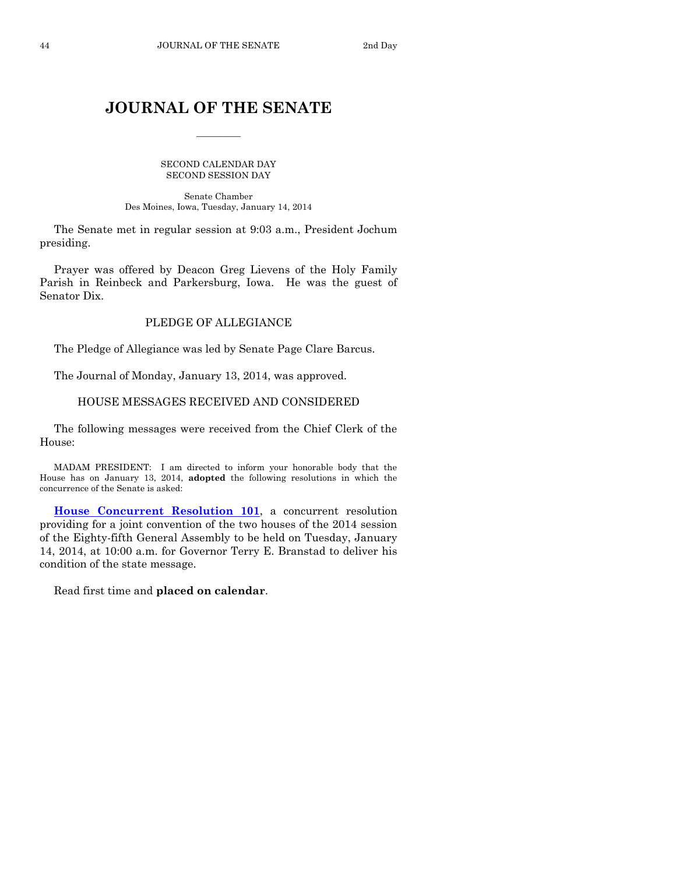# **JOURNAL OF THE SENATE**

 $\frac{1}{2}$ 

SECOND CALENDAR DAY SECOND SESSION DAY

Senate Chamber Des Moines, Iowa, Tuesday, January 14, 2014

The Senate met in regular session at 9:03 a.m., President Jochum presiding.

Prayer was offered by Deacon Greg Lievens of the Holy Family Parish in Reinbeck and Parkersburg, Iowa. He was the guest of Senator Dix.

# PLEDGE OF ALLEGIANCE

The Pledge of Allegiance was led by Senate Page Clare Barcus.

The Journal of Monday, January 13, 2014, was approved.

# HOUSE MESSAGES RECEIVED AND CONSIDERED

The following messages were received from the Chief Clerk of the House:

MADAM PRESIDENT: I am directed to inform your honorable body that the House has on January 13, 2014, **adopted** the following resolutions in which the concurrence of the Senate is asked:

**[House Concurrent Resolution 101](http://coolice.legis.iowa.gov/Cool-ICE/default.asp?Category=billinfo&Service=Billbook&frame=1&GA=85&hbill=HCR101)**, a concurrent resolution providing for a joint convention of the two houses of the 2014 session of the Eighty-fifth General Assembly to be held on Tuesday, January 14, 2014, at 10:00 a.m. for Governor Terry E. Branstad to deliver his condition of the state message.

Read first time and **placed on calendar**.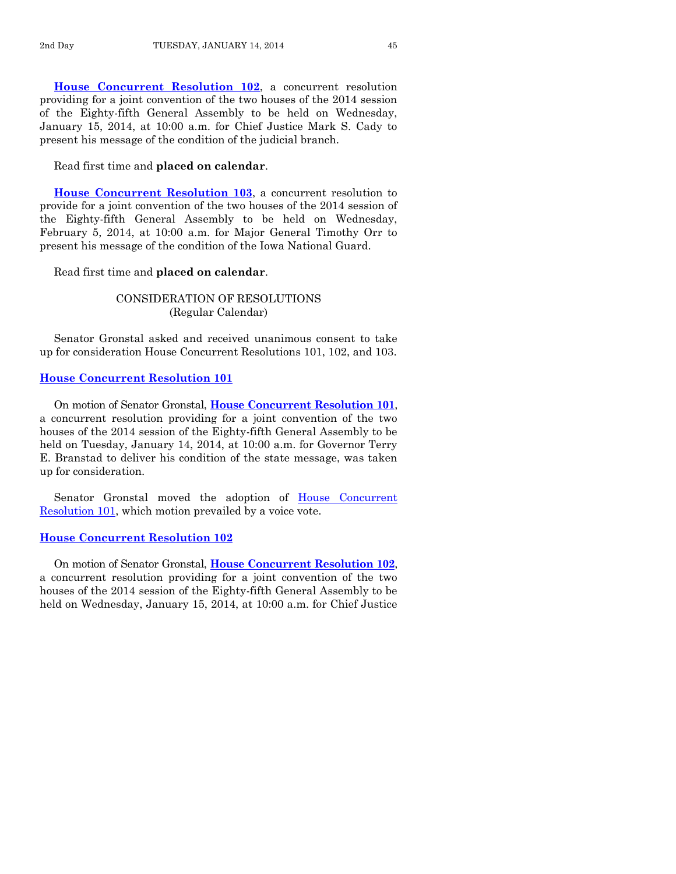**[House Concurrent Resolution 102](http://coolice.legis.iowa.gov/Cool-ICE/default.asp?Category=billinfo&Service=Billbook&frame=1&GA=85&hbill=HCR102)**, a concurrent resolution providing for a joint convention of the two houses of the 2014 session of the Eighty-fifth General Assembly to be held on Wednesday, January 15, 2014, at 10:00 a.m. for Chief Justice Mark S. Cady to present his message of the condition of the judicial branch.

Read first time and **placed on calendar**.

**[House Concurrent Resolution 103](http://coolice.legis.iowa.gov/Cool-ICE/default.asp?Category=billinfo&Service=Billbook&frame=1&GA=85&hbill=HCR103)**, a concurrent resolution to provide for a joint convention of the two houses of the 2014 session of the Eighty-fifth General Assembly to be held on Wednesday, February 5, 2014, at 10:00 a.m. for Major General Timothy Orr to present his message of the condition of the Iowa National Guard.

Read first time and **placed on calendar**.

# CONSIDERATION OF RESOLUTIONS (Regular Calendar)

Senator Gronstal asked and received unanimous consent to take up for consideration House Concurrent Resolutions 101, 102, and 103.

#### **[House Concurrent Resolution 101](http://coolice.legis.iowa.gov/Cool-ICE/default.asp?Category=billinfo&Service=Billbook&frame=1&GA=85&hbill=HCR101)**

On motion of Senator Gronstal, **House [Concurrent Resolution 101](http://coolice.legis.iowa.gov/Cool-ICE/default.asp?Category=billinfo&Service=Billbook&frame=1&GA=85&hbill=HCR101)**, a concurrent resolution providing for a joint convention of the two houses of the 2014 session of the Eighty-fifth General Assembly to be held on Tuesday, January 14, 2014, at 10:00 a.m. for Governor Terry E. Branstad to deliver his condition of the state message, was taken up for consideration.

Senator Gronstal moved the adoption of [House Concurrent](http://coolice.legis.iowa.gov/Cool-ICE/default.asp?Category=billinfo&Service=Billbook&frame=1&GA=85&hbill=HCR101)  [Resolution 101,](http://coolice.legis.iowa.gov/Cool-ICE/default.asp?Category=billinfo&Service=Billbook&frame=1&GA=85&hbill=HCR101) which motion prevailed by a voice vote.

#### **[House Concurrent Resolution 102](http://coolice.legis.iowa.gov/Cool-ICE/default.asp?Category=billinfo&Service=Billbook&frame=1&GA=85&hbill=HCR102)**

On motion of Senator Gronstal, **House [Concurrent Resolution 102](http://coolice.legis.iowa.gov/Cool-ICE/default.asp?Category=billinfo&Service=Billbook&frame=1&GA=85&hbill=HCR102)**, a concurrent resolution providing for a joint convention of the two houses of the 2014 session of the Eighty-fifth General Assembly to be held on Wednesday, January 15, 2014, at 10:00 a.m. for Chief Justice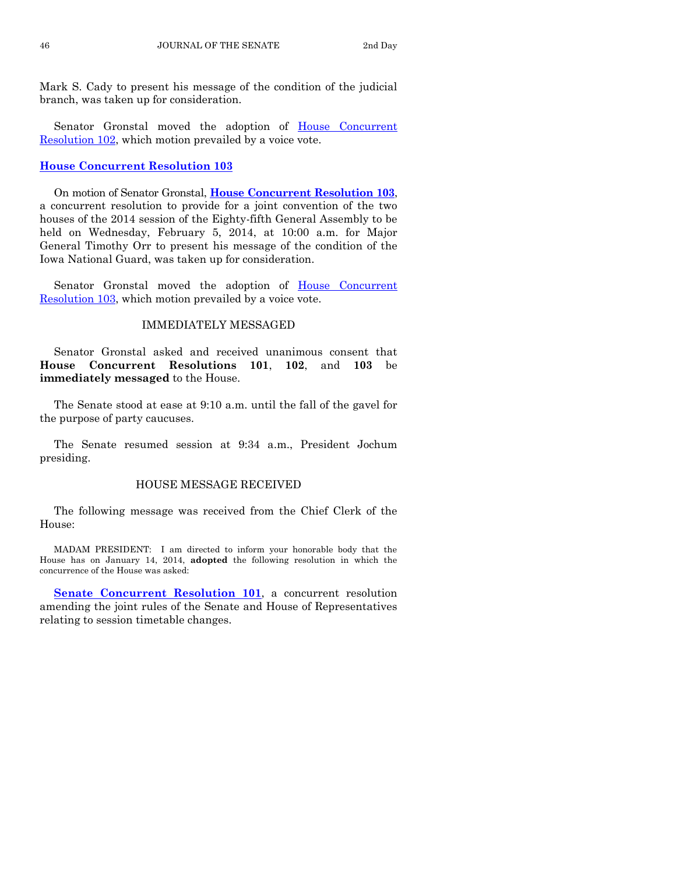Mark S. Cady to present his message of the condition of the judicial branch, was taken up for consideration.

Senator Gronstal moved the adoption of House Concurrent [Resolution 102,](http://coolice.legis.iowa.gov/Cool-ICE/default.asp?Category=billinfo&Service=Billbook&frame=1&GA=85&hbill=HCR102) which motion prevailed by a voice vote.

#### **[House Concurrent Resolution 103](http://coolice.legis.iowa.gov/Cool-ICE/default.asp?Category=billinfo&Service=Billbook&frame=1&GA=85&hbill=HCR103)**

On motion of Senator Gronstal, **[House Concurrent](http://coolice.legis.iowa.gov/Cool-ICE/default.asp?Category=billinfo&Service=Billbook&frame=1&GA=85&hbill=HCR103) Resolution 103**, a concurrent resolution to provide for a joint convention of the two houses of the 2014 session of the Eighty-fifth General Assembly to be held on Wednesday, February 5, 2014, at 10:00 a.m. for Major General Timothy Orr to present his message of the condition of the Iowa National Guard, was taken up for consideration.

Senator Gronstal moved the adoption of House Concurrent [Resolution 103,](http://coolice.legis.iowa.gov/Cool-ICE/default.asp?Category=billinfo&Service=Billbook&frame=1&GA=85&hbill=HCR103) which motion prevailed by a voice vote.

#### IMMEDIATELY MESSAGED

Senator Gronstal asked and received unanimous consent that **House Concurrent Resolutions 101**, **102**, and **103** be **immediately messaged** to the House.

The Senate stood at ease at 9:10 a.m. until the fall of the gavel for the purpose of party caucuses.

The Senate resumed session at 9:34 a.m., President Jochum presiding.

#### HOUSE MESSAGE RECEIVED

The following message was received from the Chief Clerk of the House:

MADAM PRESIDENT: I am directed to inform your honorable body that the House has on January 14, 2014, **adopted** the following resolution in which the concurrence of the House was asked:

**[Senate Concurrent Resolution 101](http://coolice.legis.iowa.gov/Cool-ICE/default.asp?Category=billinfo&Service=Billbook&frame=1&GA=85&hbill=SCR101)**, a concurrent resolution amending the joint rules of the Senate and House of Representatives relating to session timetable changes.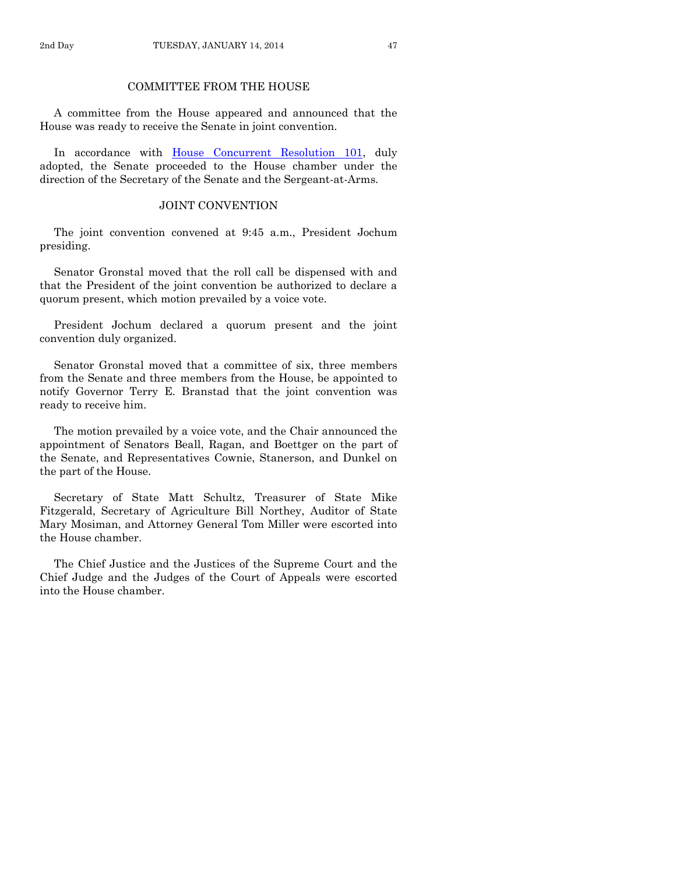# COMMITTEE FROM THE HOUSE

A committee from the House appeared and announced that the House was ready to receive the Senate in joint convention.

In accordance with [House Concurrent Resolution 101,](http://coolice.legis.iowa.gov/Cool-ICE/default.asp?Category=billinfo&Service=Billbook&frame=1&GA=85&hbill=HCR101) duly adopted, the Senate proceeded to the House chamber under the direction of the Secretary of the Senate and the Sergeant-at-Arms.

# JOINT CONVENTION

The joint convention convened at 9:45 a.m., President Jochum presiding.

Senator Gronstal moved that the roll call be dispensed with and that the President of the joint convention be authorized to declare a quorum present, which motion prevailed by a voice vote.

President Jochum declared a quorum present and the joint convention duly organized.

Senator Gronstal moved that a committee of six, three members from the Senate and three members from the House, be appointed to notify Governor Terry E. Branstad that the joint convention was ready to receive him.

The motion prevailed by a voice vote, and the Chair announced the appointment of Senators Beall, Ragan, and Boettger on the part of the Senate, and Representatives Cownie, Stanerson, and Dunkel on the part of the House.

Secretary of State Matt Schultz, Treasurer of State Mike Fitzgerald, Secretary of Agriculture Bill Northey, Auditor of State Mary Mosiman, and Attorney General Tom Miller were escorted into the House chamber.

The Chief Justice and the Justices of the Supreme Court and the Chief Judge and the Judges of the Court of Appeals were escorted into the House chamber.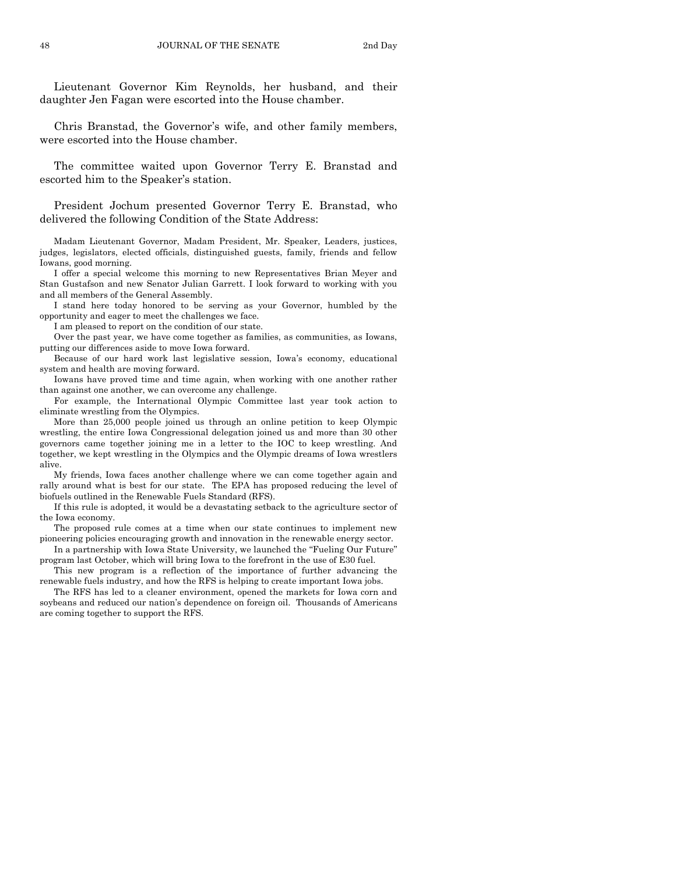Lieutenant Governor Kim Reynolds, her husband, and their daughter Jen Fagan were escorted into the House chamber.

Chris Branstad, the Governor's wife, and other family members, were escorted into the House chamber.

The committee waited upon Governor Terry E. Branstad and escorted him to the Speaker's station.

President Jochum presented Governor Terry E. Branstad, who delivered the following Condition of the State Address:

Madam Lieutenant Governor, Madam President, Mr. Speaker, Leaders, justices, judges, legislators, elected officials, distinguished guests, family, friends and fellow Iowans, good morning.

I offer a special welcome this morning to new Representatives Brian Meyer and Stan Gustafson and new Senator Julian Garrett. I look forward to working with you and all members of the General Assembly.

I stand here today honored to be serving as your Governor, humbled by the opportunity and eager to meet the challenges we face.

I am pleased to report on the condition of our state.

Over the past year, we have come together as families, as communities, as Iowans, putting our differences aside to move Iowa forward.

Because of our hard work last legislative session, Iowa's economy, educational system and health are moving forward.

Iowans have proved time and time again, when working with one another rather than against one another, we can overcome any challenge.

For example, the International Olympic Committee last year took action to eliminate wrestling from the Olympics.

More than 25,000 people joined us through an online petition to keep Olympic wrestling, the entire Iowa Congressional delegation joined us and more than 30 other governors came together joining me in a letter to the IOC to keep wrestling. And together, we kept wrestling in the Olympics and the Olympic dreams of Iowa wrestlers alive.

My friends, Iowa faces another challenge where we can come together again and rally around what is best for our state. The EPA has proposed reducing the level of biofuels outlined in the Renewable Fuels Standard (RFS).

If this rule is adopted, it would be a devastating setback to the agriculture sector of the Iowa economy.

The proposed rule comes at a time when our state continues to implement new pioneering policies encouraging growth and innovation in the renewable energy sector.

In a partnership with Iowa State University, we launched the "Fueling Our Future" program last October, which will bring Iowa to the forefront in the use of E30 fuel.

This new program is a reflection of the importance of further advancing the renewable fuels industry, and how the RFS is helping to create important Iowa jobs.

The RFS has led to a cleaner environment, opened the markets for Iowa corn and soybeans and reduced our nation's dependence on foreign oil. Thousands of Americans are coming together to support the RFS.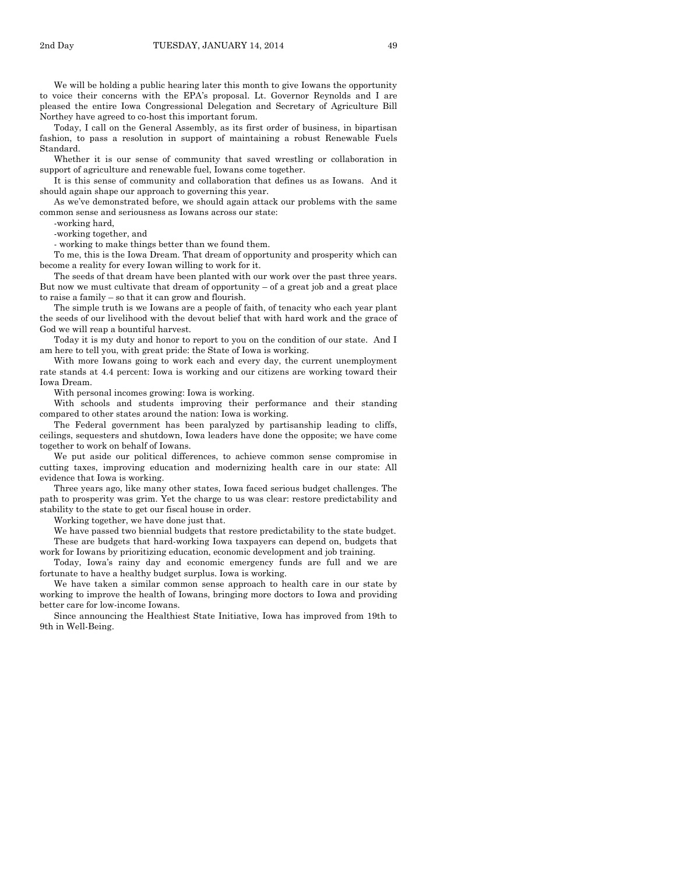Today, I call on the General Assembly, as its first order of business, in bipartisan fashion, to pass a resolution in support of maintaining a robust Renewable Fuels Standard.

Whether it is our sense of community that saved wrestling or collaboration in support of agriculture and renewable fuel, Iowans come together.

It is this sense of community and collaboration that defines us as Iowans. And it should again shape our approach to governing this year.

As we've demonstrated before, we should again attack our problems with the same common sense and seriousness as Iowans across our state:

-working hard,

-working together, and

- working to make things better than we found them.

To me, this is the Iowa Dream. That dream of opportunity and prosperity which can become a reality for every Iowan willing to work for it.

The seeds of that dream have been planted with our work over the past three years. But now we must cultivate that dream of opportunity  $-$  of a great job and a great place to raise a family – so that it can grow and flourish.

The simple truth is we Iowans are a people of faith, of tenacity who each year plant the seeds of our livelihood with the devout belief that with hard work and the grace of God we will reap a bountiful harvest.

Today it is my duty and honor to report to you on the condition of our state. And I am here to tell you, with great pride: the State of Iowa is working.

With more Iowans going to work each and every day, the current unemployment rate stands at 4.4 percent: Iowa is working and our citizens are working toward their Iowa Dream.

With personal incomes growing: Iowa is working.

With schools and students improving their performance and their standing compared to other states around the nation: Iowa is working.

The Federal government has been paralyzed by partisanship leading to cliffs, ceilings, sequesters and shutdown, Iowa leaders have done the opposite; we have come together to work on behalf of Iowans.

We put aside our political differences, to achieve common sense compromise in cutting taxes, improving education and modernizing health care in our state: All evidence that Iowa is working.

Three years ago, like many other states, Iowa faced serious budget challenges. The path to prosperity was grim. Yet the charge to us was clear: restore predictability and stability to the state to get our fiscal house in order.

Working together, we have done just that.

We have passed two biennial budgets that restore predictability to the state budget. These are budgets that hard-working Iowa taxpayers can depend on, budgets that work for Iowans by prioritizing education, economic development and job training.

Today, Iowa's rainy day and economic emergency funds are full and we are fortunate to have a healthy budget surplus. Iowa is working.

We have taken a similar common sense approach to health care in our state by working to improve the health of Iowans, bringing more doctors to Iowa and providing better care for low-income Iowans.

Since announcing the Healthiest State Initiative, Iowa has improved from 19th to 9th in Well-Being.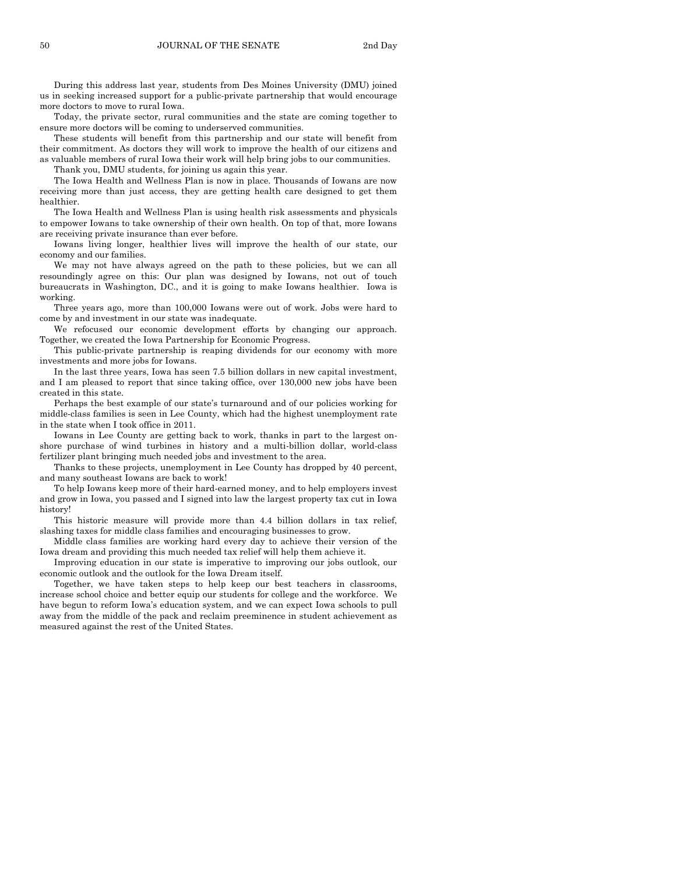During this address last year, students from Des Moines University (DMU) joined us in seeking increased support for a public-private partnership that would encourage more doctors to move to rural Iowa.

Today, the private sector, rural communities and the state are coming together to ensure more doctors will be coming to underserved communities.

These students will benefit from this partnership and our state will benefit from their commitment. As doctors they will work to improve the health of our citizens and as valuable members of rural Iowa their work will help bring jobs to our communities.

Thank you, DMU students, for joining us again this year.

The Iowa Health and Wellness Plan is now in place. Thousands of Iowans are now receiving more than just access, they are getting health care designed to get them healthier.

The Iowa Health and Wellness Plan is using health risk assessments and physicals to empower Iowans to take ownership of their own health. On top of that, more Iowans are receiving private insurance than ever before.

Iowans living longer, healthier lives will improve the health of our state, our economy and our families.

We may not have always agreed on the path to these policies, but we can all resoundingly agree on this: Our plan was designed by Iowans, not out of touch bureaucrats in Washington, DC., and it is going to make Iowans healthier. Iowa is working.

Three years ago, more than 100,000 Iowans were out of work. Jobs were hard to come by and investment in our state was inadequate.

We refocused our economic development efforts by changing our approach. Together, we created the Iowa Partnership for Economic Progress.

This public-private partnership is reaping dividends for our economy with more investments and more jobs for Iowans.

In the last three years, Iowa has seen 7.5 billion dollars in new capital investment, and I am pleased to report that since taking office, over 130,000 new jobs have been created in this state.

Perhaps the best example of our state's turnaround and of our policies working for middle-class families is seen in Lee County, which had the highest unemployment rate in the state when I took office in 2011.

Iowans in Lee County are getting back to work, thanks in part to the largest onshore purchase of wind turbines in history and a multi-billion dollar, world-class fertilizer plant bringing much needed jobs and investment to the area.

Thanks to these projects, unemployment in Lee County has dropped by 40 percent, and many southeast Iowans are back to work!

To help Iowans keep more of their hard-earned money, and to help employers invest and grow in Iowa, you passed and I signed into law the largest property tax cut in Iowa history!

This historic measure will provide more than 4.4 billion dollars in tax relief, slashing taxes for middle class families and encouraging businesses to grow.

Middle class families are working hard every day to achieve their version of the Iowa dream and providing this much needed tax relief will help them achieve it.

Improving education in our state is imperative to improving our jobs outlook, our economic outlook and the outlook for the Iowa Dream itself.

Together, we have taken steps to help keep our best teachers in classrooms, increase school choice and better equip our students for college and the workforce. We have begun to reform Iowa's education system, and we can expect Iowa schools to pull away from the middle of the pack and reclaim preeminence in student achievement as measured against the rest of the United States.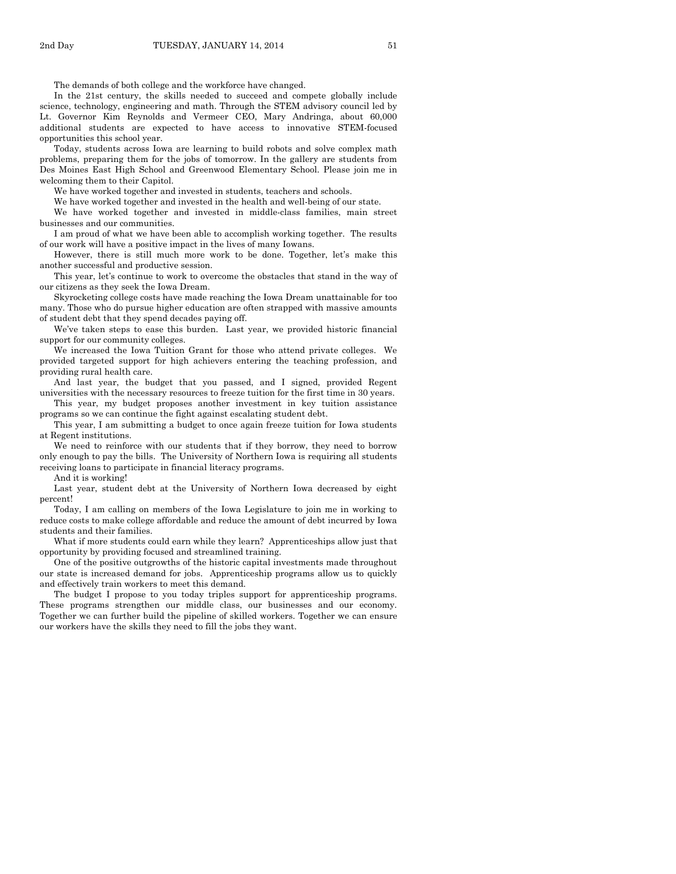The demands of both college and the workforce have changed.

In the 21st century, the skills needed to succeed and compete globally include science, technology, engineering and math. Through the STEM advisory council led by Lt. Governor Kim Reynolds and Vermeer CEO, Mary Andringa, about 60,000 additional students are expected to have access to innovative STEM-focused opportunities this school year.

Today, students across Iowa are learning to build robots and solve complex math problems, preparing them for the jobs of tomorrow. In the gallery are students from Des Moines East High School and Greenwood Elementary School. Please join me in welcoming them to their Capitol.

We have worked together and invested in students, teachers and schools.

We have worked together and invested in the health and well-being of our state.

We have worked together and invested in middle-class families, main street businesses and our communities.

I am proud of what we have been able to accomplish working together. The results of our work will have a positive impact in the lives of many Iowans.

However, there is still much more work to be done. Together, let's make this another successful and productive session.

This year, let's continue to work to overcome the obstacles that stand in the way of our citizens as they seek the Iowa Dream.

Skyrocketing college costs have made reaching the Iowa Dream unattainable for too many. Those who do pursue higher education are often strapped with massive amounts of student debt that they spend decades paying off.

We've taken steps to ease this burden. Last year, we provided historic financial support for our community colleges.

We increased the Iowa Tuition Grant for those who attend private colleges. We provided targeted support for high achievers entering the teaching profession, and providing rural health care.

And last year, the budget that you passed, and I signed, provided Regent universities with the necessary resources to freeze tuition for the first time in 30 years.

This year, my budget proposes another investment in key tuition assistance programs so we can continue the fight against escalating student debt.

This year, I am submitting a budget to once again freeze tuition for Iowa students at Regent institutions.

We need to reinforce with our students that if they borrow, they need to borrow only enough to pay the bills. The University of Northern Iowa is requiring all students receiving loans to participate in financial literacy programs.

And it is working!

Last year, student debt at the University of Northern Iowa decreased by eight percent!

Today, I am calling on members of the Iowa Legislature to join me in working to reduce costs to make college affordable and reduce the amount of debt incurred by Iowa students and their families.

What if more students could earn while they learn? Apprenticeships allow just that opportunity by providing focused and streamlined training.

One of the positive outgrowths of the historic capital investments made throughout our state is increased demand for jobs. Apprenticeship programs allow us to quickly and effectively train workers to meet this demand.

The budget I propose to you today triples support for apprenticeship programs. These programs strengthen our middle class, our businesses and our economy. Together we can further build the pipeline of skilled workers. Together we can ensure our workers have the skills they need to fill the jobs they want.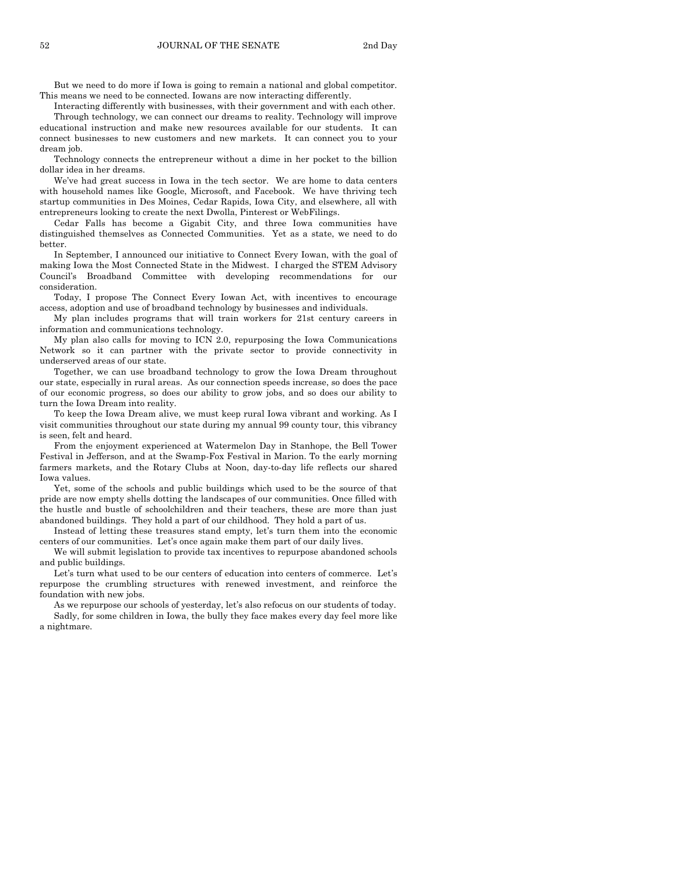But we need to do more if Iowa is going to remain a national and global competitor. This means we need to be connected. Iowans are now interacting differently.

Interacting differently with businesses, with their government and with each other.

Through technology, we can connect our dreams to reality. Technology will improve educational instruction and make new resources available for our students. It can connect businesses to new customers and new markets. It can connect you to your dream job.

Technology connects the entrepreneur without a dime in her pocket to the billion dollar idea in her dreams.

We've had great success in Iowa in the tech sector. We are home to data centers with household names like Google, Microsoft, and Facebook. We have thriving tech startup communities in Des Moines, Cedar Rapids, Iowa City, and elsewhere, all with entrepreneurs looking to create the next Dwolla, Pinterest or WebFilings.

Cedar Falls has become a Gigabit City, and three Iowa communities have distinguished themselves as Connected Communities. Yet as a state, we need to do better.

In September, I announced our initiative to Connect Every Iowan, with the goal of making Iowa the Most Connected State in the Midwest. I charged the STEM Advisory Council's Broadband Committee with developing recommendations for our consideration.

Today, I propose The Connect Every Iowan Act, with incentives to encourage access, adoption and use of broadband technology by businesses and individuals.

My plan includes programs that will train workers for 21st century careers in information and communications technology.

My plan also calls for moving to ICN 2.0, repurposing the Iowa Communications Network so it can partner with the private sector to provide connectivity in underserved areas of our state.

Together, we can use broadband technology to grow the Iowa Dream throughout our state, especially in rural areas. As our connection speeds increase, so does the pace of our economic progress, so does our ability to grow jobs, and so does our ability to turn the Iowa Dream into reality.

To keep the Iowa Dream alive, we must keep rural Iowa vibrant and working. As I visit communities throughout our state during my annual 99 county tour, this vibrancy is seen, felt and heard.

From the enjoyment experienced at Watermelon Day in Stanhope, the Bell Tower Festival in Jefferson, and at the Swamp-Fox Festival in Marion. To the early morning farmers markets, and the Rotary Clubs at Noon, day-to-day life reflects our shared Iowa values.

Yet, some of the schools and public buildings which used to be the source of that pride are now empty shells dotting the landscapes of our communities. Once filled with the hustle and bustle of schoolchildren and their teachers, these are more than just abandoned buildings. They hold a part of our childhood. They hold a part of us.

Instead of letting these treasures stand empty, let's turn them into the economic centers of our communities. Let's once again make them part of our daily lives.

We will submit legislation to provide tax incentives to repurpose abandoned schools and public buildings.

Let's turn what used to be our centers of education into centers of commerce. Let's repurpose the crumbling structures with renewed investment, and reinforce the foundation with new jobs.

As we repurpose our schools of yesterday, let's also refocus on our students of today. Sadly, for some children in Iowa, the bully they face makes every day feel more like

a nightmare.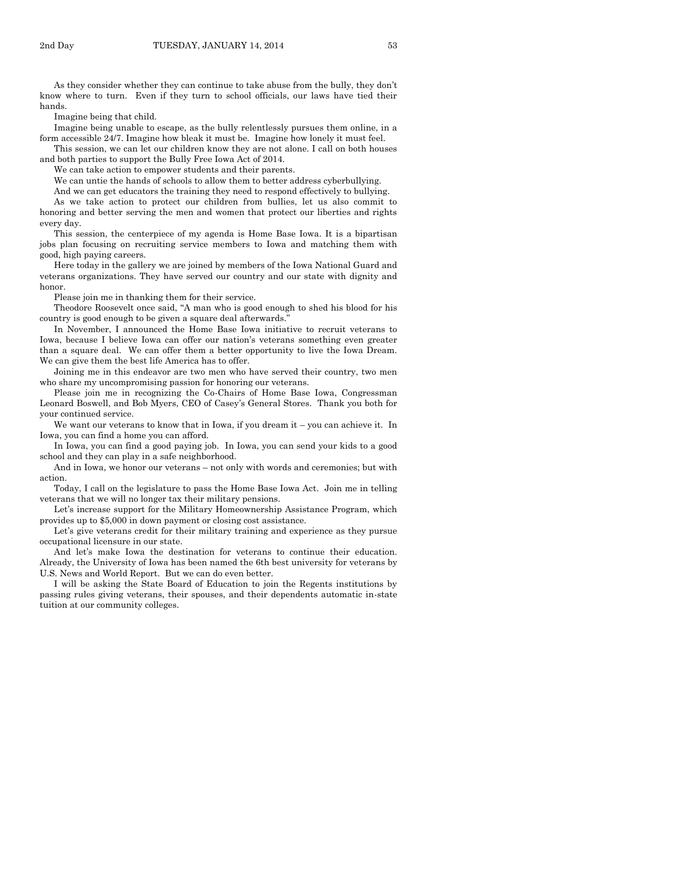As they consider whether they can continue to take abuse from the bully, they don't know where to turn. Even if they turn to school officials, our laws have tied their hands.

Imagine being that child.

Imagine being unable to escape, as the bully relentlessly pursues them online, in a form accessible 24/7. Imagine how bleak it must be. Imagine how lonely it must feel.

This session, we can let our children know they are not alone. I call on both houses and both parties to support the Bully Free Iowa Act of 2014.

We can take action to empower students and their parents.

We can untie the hands of schools to allow them to better address cyberbullying.

And we can get educators the training they need to respond effectively to bullying.

As we take action to protect our children from bullies, let us also commit to honoring and better serving the men and women that protect our liberties and rights every day.

This session, the centerpiece of my agenda is Home Base Iowa. It is a bipartisan jobs plan focusing on recruiting service members to Iowa and matching them with good, high paying careers.

Here today in the gallery we are joined by members of the Iowa National Guard and veterans organizations. They have served our country and our state with dignity and honor.

Please join me in thanking them for their service.

Theodore Roosevelt once said, "A man who is good enough to shed his blood for his country is good enough to be given a square deal afterwards."

In November, I announced the Home Base Iowa initiative to recruit veterans to Iowa, because I believe Iowa can offer our nation's veterans something even greater than a square deal. We can offer them a better opportunity to live the Iowa Dream. We can give them the best life America has to offer.

Joining me in this endeavor are two men who have served their country, two men who share my uncompromising passion for honoring our veterans.

Please join me in recognizing the Co-Chairs of Home Base Iowa, Congressman Leonard Boswell, and Bob Myers, CEO of Casey's General Stores. Thank you both for your continued service.

We want our veterans to know that in Iowa, if you dream it – you can achieve it. In Iowa, you can find a home you can afford.

In Iowa, you can find a good paying job. In Iowa, you can send your kids to a good school and they can play in a safe neighborhood.

And in Iowa, we honor our veterans – not only with words and ceremonies; but with action.

Today, I call on the legislature to pass the Home Base Iowa Act. Join me in telling veterans that we will no longer tax their military pensions.

Let's increase support for the Military Homeownership Assistance Program, which provides up to \$5,000 in down payment or closing cost assistance.

Let's give veterans credit for their military training and experience as they pursue occupational licensure in our state.

And let's make Iowa the destination for veterans to continue their education. Already, the University of Iowa has been named the 6th best university for veterans by U.S. News and World Report. But we can do even better.

I will be asking the State Board of Education to join the Regents institutions by passing rules giving veterans, their spouses, and their dependents automatic in-state tuition at our community colleges.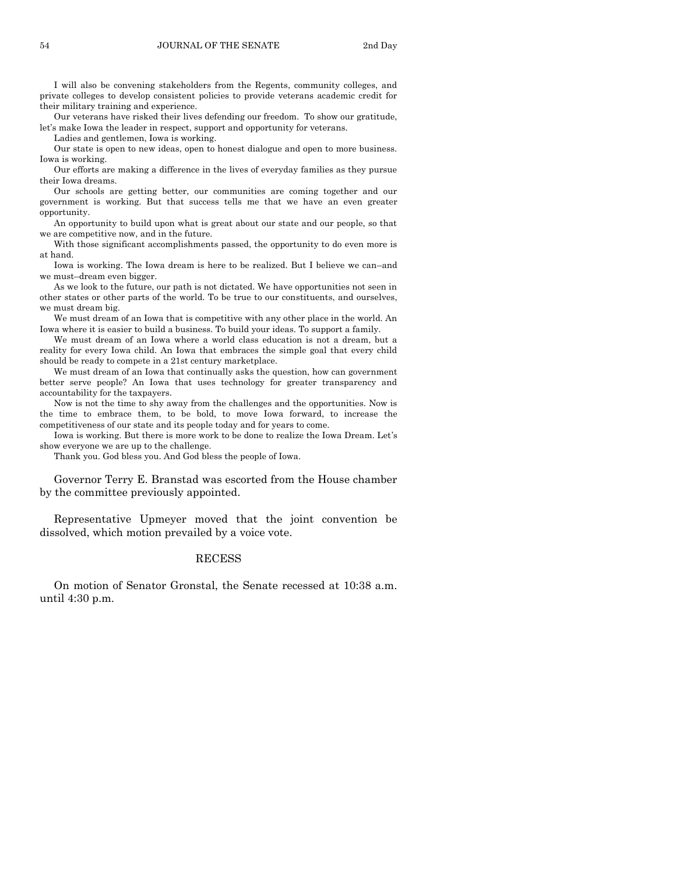I will also be convening stakeholders from the Regents, community colleges, and private colleges to develop consistent policies to provide veterans academic credit for their military training and experience.

Our veterans have risked their lives defending our freedom. To show our gratitude, let's make Iowa the leader in respect, support and opportunity for veterans.

Ladies and gentlemen, Iowa is working.

Our state is open to new ideas, open to honest dialogue and open to more business. Iowa is working.

Our efforts are making a difference in the lives of everyday families as they pursue their Iowa dreams.

Our schools are getting better, our communities are coming together and our government is working. But that success tells me that we have an even greater opportunity.

An opportunity to build upon what is great about our state and our people, so that we are competitive now, and in the future.

With those significant accomplishments passed, the opportunity to do even more is at hand.

Iowa is working. The Iowa dream is here to be realized. But I believe we can–and we must–dream even bigger.

As we look to the future, our path is not dictated. We have opportunities not seen in other states or other parts of the world. To be true to our constituents, and ourselves, we must dream big.

We must dream of an Iowa that is competitive with any other place in the world. An Iowa where it is easier to build a business. To build your ideas. To support a family.

We must dream of an Iowa where a world class education is not a dream, but a reality for every Iowa child. An Iowa that embraces the simple goal that every child should be ready to compete in a 21st century marketplace.

We must dream of an Iowa that continually asks the question, how can government better serve people? An Iowa that uses technology for greater transparency and accountability for the taxpayers.

Now is not the time to shy away from the challenges and the opportunities. Now is the time to embrace them, to be bold, to move Iowa forward, to increase the competitiveness of our state and its people today and for years to come.

Iowa is working. But there is more work to be done to realize the Iowa Dream. Let's show everyone we are up to the challenge.

Thank you. God bless you. And God bless the people of Iowa.

Governor Terry E. Branstad was escorted from the House chamber by the committee previously appointed.

Representative Upmeyer moved that the joint convention be dissolved, which motion prevailed by a voice vote.

#### RECESS

On motion of Senator Gronstal, the Senate recessed at 10:38 a.m. until 4:30 p.m.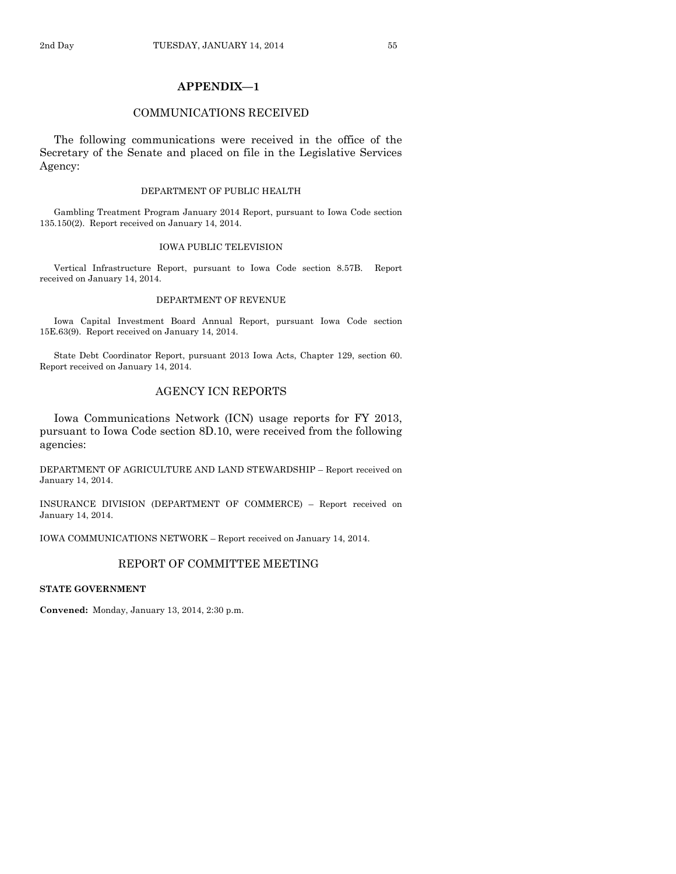# **APPENDIX—1**

#### COMMUNICATIONS RECEIVED

The following communications were received in the office of the Secretary of the Senate and placed on file in the Legislative Services Agency:

#### DEPARTMENT OF PUBLIC HEALTH

Gambling Treatment Program January 2014 Report, pursuant to Iowa Code section 135.150(2). Report received on January 14, 2014.

#### IOWA PUBLIC TELEVISION

Vertical Infrastructure Report, pursuant to Iowa Code section 8.57B. Report received on January 14, 2014.

#### DEPARTMENT OF REVENUE

Iowa Capital Investment Board Annual Report, pursuant Iowa Code section 15E.63(9). Report received on January 14, 2014.

State Debt Coordinator Report, pursuant 2013 Iowa Acts, Chapter 129, section 60. Report received on January 14, 2014.

# AGENCY ICN REPORTS

Iowa Communications Network (ICN) usage reports for FY 2013, pursuant to Iowa Code section 8D.10, were received from the following agencies:

DEPARTMENT OF AGRICULTURE AND LAND STEWARDSHIP – Report received on January 14, 2014.

INSURANCE DIVISION (DEPARTMENT OF COMMERCE) – Report received on January 14, 2014.

IOWA COMMUNICATIONS NETWORK – Report received on January 14, 2014.

# REPORT OF COMMITTEE MEETING

# **STATE GOVERNMENT**

**Convened:** Monday, January 13, 2014, 2:30 p.m.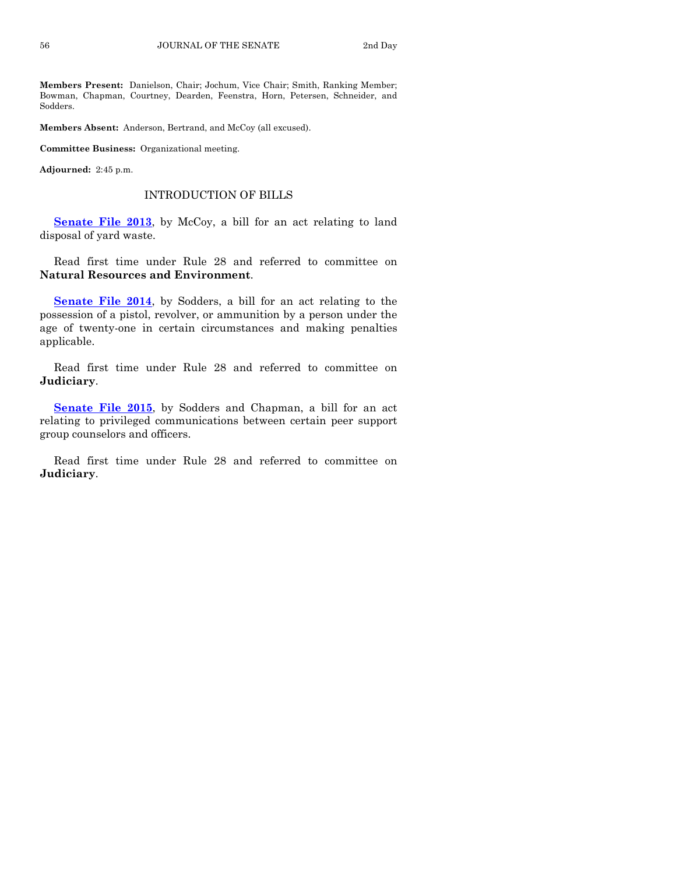**Members Present:** Danielson, Chair; Jochum, Vice Chair; Smith, Ranking Member; Bowman, Chapman, Courtney, Dearden, Feenstra, Horn, Petersen, Schneider, and Sodders.

**Members Absent:** Anderson, Bertrand, and McCoy (all excused).

**Committee Business:** Organizational meeting.

**Adjourned:** 2:45 p.m.

#### INTRODUCTION OF BILLS

**[Senate File 2013](http://coolice.legis.iowa.gov/Cool-ICE/default.asp?Category=billinfo&Service=Billbook&frame=1&GA=85&hbill=SF2013)**, by McCoy, a bill for an act relating to land disposal of yard waste.

Read first time under Rule 28 and referred to committee on **Natural Resources and Environment**.

**[Senate File 2014](http://coolice.legis.iowa.gov/Cool-ICE/default.asp?Category=billinfo&Service=Billbook&frame=1&GA=85&hbill=SF2014)**, by Sodders, a bill for an act relating to the possession of a pistol, revolver, or ammunition by a person under the age of twenty-one in certain circumstances and making penalties applicable.

Read first time under Rule 28 and referred to committee on **Judiciary**.

**[Senate File 2015](http://coolice.legis.iowa.gov/Cool-ICE/default.asp?Category=billinfo&Service=Billbook&frame=1&GA=85&hbill=SF2015)**, by Sodders and Chapman, a bill for an act relating to privileged communications between certain peer support group counselors and officers.

Read first time under Rule 28 and referred to committee on **Judiciary**.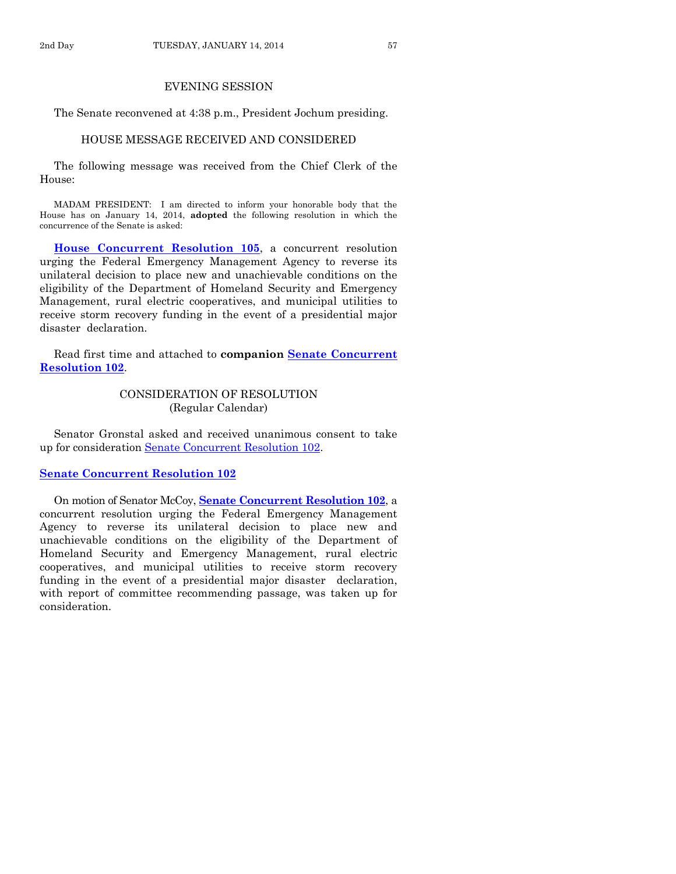# EVENING SESSION

The Senate reconvened at 4:38 p.m., President Jochum presiding.

## HOUSE MESSAGE RECEIVED AND CONSIDERED

The following message was received from the Chief Clerk of the House:

MADAM PRESIDENT: I am directed to inform your honorable body that the House has on January 14, 2014, **adopted** the following resolution in which the concurrence of the Senate is asked:

**[House Concurrent Resolution 105](http://coolice.legis.iowa.gov/Cool-ICE/default.asp?Category=billinfo&Service=Billbook&frame=1&GA=85&hbill=HCR105)**, a concurrent resolution urging the Federal Emergency Management Agency to reverse its unilateral decision to place new and unachievable conditions on the eligibility of the Department of Homeland Security and Emergency Management, rural electric cooperatives, and municipal utilities to receive storm recovery funding in the event of a presidential major disaster declaration.

Read first time and attached to **companion [Senate Concurrent](http://coolice.legis.iowa.gov/Cool-ICE/default.asp?Category=billinfo&Service=Billbook&frame=1&GA=85&hbill=SCR102)  [Resolution 102](http://coolice.legis.iowa.gov/Cool-ICE/default.asp?Category=billinfo&Service=Billbook&frame=1&GA=85&hbill=SCR102)**.

# CONSIDERATION OF RESOLUTION (Regular Calendar)

Senator Gronstal asked and received unanimous consent to take up for consideration [Senate Concurrent Resolution 102.](http://coolice.legis.iowa.gov/Cool-ICE/default.asp?Category=billinfo&Service=Billbook&frame=1&GA=85&hbill=SCR102)

# **[Senate Concurrent Resolution 102](http://coolice.legis.iowa.gov/Cool-ICE/default.asp?Category=billinfo&Service=Billbook&frame=1&GA=85&hbill=SCR102)**

On motion of Senator McCoy, **Senate [Concurrent Resolution 102](http://coolice.legis.iowa.gov/Cool-ICE/default.asp?Category=billinfo&Service=Billbook&frame=1&GA=85&hbill=SCR102)**, a concurrent resolution urging the Federal Emergency Management Agency to reverse its unilateral decision to place new and unachievable conditions on the eligibility of the Department of Homeland Security and Emergency Management, rural electric cooperatives, and municipal utilities to receive storm recovery funding in the event of a presidential major disaster declaration, with report of committee recommending passage, was taken up for consideration.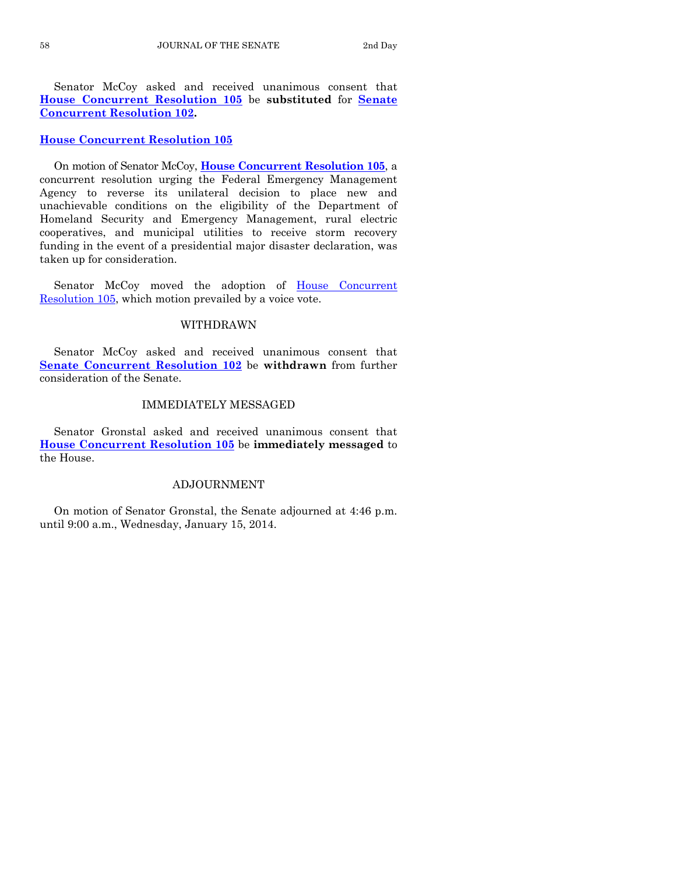Senator McCoy asked and received unanimous consent that **[House Concurrent Resolution 105](http://coolice.legis.iowa.gov/Cool-ICE/default.asp?Category=billinfo&Service=Billbook&frame=1&GA=85&hbill=HCR105)** be **substituted** for **[Senate](http://coolice.legis.iowa.gov/Cool-ICE/default.asp?Category=billinfo&Service=Billbook&frame=1&GA=85&hbill=SCR102)  [Concurrent Resolution 102.](http://coolice.legis.iowa.gov/Cool-ICE/default.asp?Category=billinfo&Service=Billbook&frame=1&GA=85&hbill=SCR102)** 

# **[House Concurrent Resolution 105](http://coolice.legis.iowa.gov/Cool-ICE/default.asp?Category=billinfo&Service=Billbook&frame=1&GA=85&hbill=HCR105)**

On motion of Senator McCoy, **House [Concurrent Resolution 105](http://coolice.legis.iowa.gov/Cool-ICE/default.asp?Category=billinfo&Service=Billbook&frame=1&GA=85&hbill=HCR105)**, a concurrent resolution urging the Federal Emergency Management Agency to reverse its unilateral decision to place new and unachievable conditions on the eligibility of the Department of Homeland Security and Emergency Management, rural electric cooperatives, and municipal utilities to receive storm recovery funding in the event of a presidential major disaster declaration, was taken up for consideration.

Senator McCoy moved the adoption of House Concurrent [Resolution 105,](http://coolice.legis.iowa.gov/Cool-ICE/default.asp?Category=billinfo&Service=Billbook&frame=1&GA=85&hbill=HCR105) which motion prevailed by a voice vote.

# WITHDRAWN

Senator McCoy asked and received unanimous consent that **[Senate Concurrent Resolution 102](http://coolice.legis.iowa.gov/Cool-ICE/default.asp?Category=billinfo&Service=Billbook&frame=1&GA=85&hbill=SCR102)** be **withdrawn** from further consideration of the Senate.

#### IMMEDIATELY MESSAGED

Senator Gronstal asked and received unanimous consent that **[House Concurrent Resolution 105](http://coolice.legis.iowa.gov/Cool-ICE/default.asp?Category=billinfo&Service=Billbook&frame=1&GA=85&hbill=HCR105)** be **immediately messaged** to the House.

## ADJOURNMENT

On motion of Senator Gronstal, the Senate adjourned at 4:46 p.m. until 9:00 a.m., Wednesday, January 15, 2014.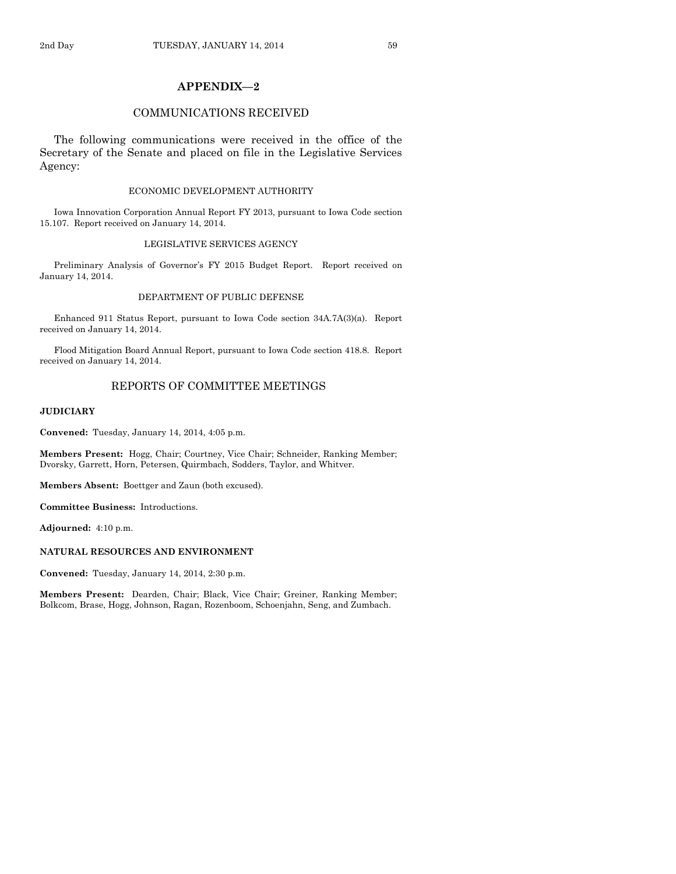# **APPENDIX—2**

#### COMMUNICATIONS RECEIVED

The following communications were received in the office of the Secretary of the Senate and placed on file in the Legislative Services Agency:

#### ECONOMIC DEVELOPMENT AUTHORITY

Iowa Innovation Corporation Annual Report FY 2013, pursuant to Iowa Code section 15.107. Report received on January 14, 2014.

#### LEGISLATIVE SERVICES AGENCY

Preliminary Analysis of Governor's FY 2015 Budget Report. Report received on January 14, 2014.

#### DEPARTMENT OF PUBLIC DEFENSE

Enhanced 911 Status Report, pursuant to Iowa Code section 34A.7A(3)(a). Report received on January 14, 2014.

Flood Mitigation Board Annual Report, pursuant to Iowa Code section 418.8. Report received on January 14, 2014.

# REPORTS OF COMMITTEE MEETINGS

#### **JUDICIARY**

**Convened:** Tuesday, January 14, 2014, 4:05 p.m.

**Members Present:** Hogg, Chair; Courtney, Vice Chair; Schneider, Ranking Member; Dvorsky, Garrett, Horn, Petersen, Quirmbach, Sodders, Taylor, and Whitver.

**Members Absent:** Boettger and Zaun (both excused).

**Committee Business:** Introductions.

**Adjourned:** 4:10 p.m.

#### **NATURAL RESOURCES AND ENVIRONMENT**

**Convened:** Tuesday, January 14, 2014, 2:30 p.m.

**Members Present:** Dearden, Chair; Black, Vice Chair; Greiner, Ranking Member; Bolkcom, Brase, Hogg, Johnson, Ragan, Rozenboom, Schoenjahn, Seng, and Zumbach.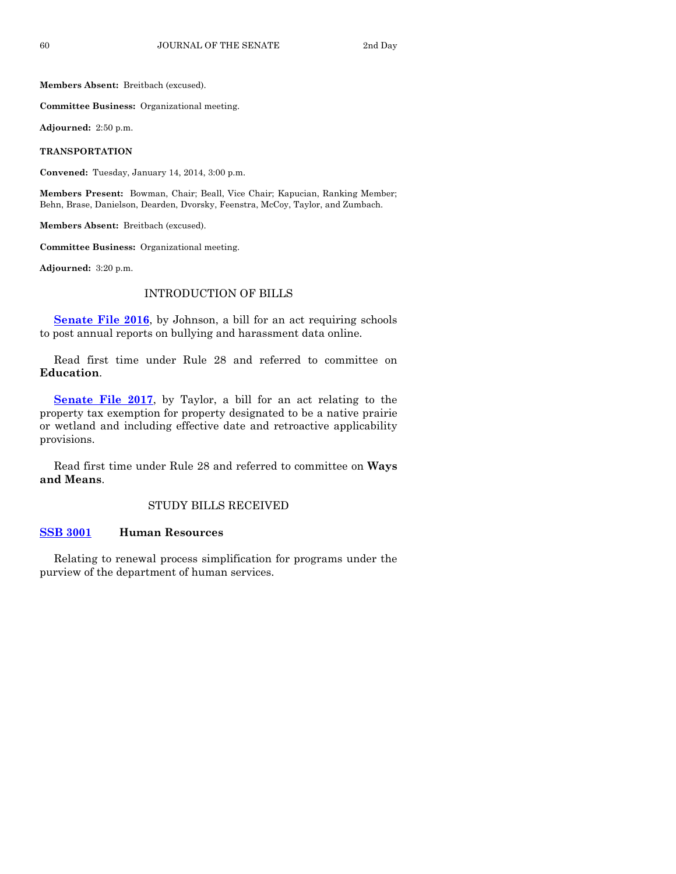**Members Absent:** Breitbach (excused).

**Committee Business:** Organizational meeting.

**Adjourned:** 2:50 p.m.

**TRANSPORTATION**

**Convened:** Tuesday, January 14, 2014, 3:00 p.m.

**Members Present:** Bowman, Chair; Beall, Vice Chair; Kapucian, Ranking Member; Behn, Brase, Danielson, Dearden, Dvorsky, Feenstra, McCoy, Taylor, and Zumbach.

**Members Absent:** Breitbach (excused).

**Committee Business:** Organizational meeting.

**Adjourned:** 3:20 p.m.

# INTRODUCTION OF BILLS

**[Senate File 2016](http://coolice.legis.iowa.gov/Cool-ICE/default.asp?Category=billinfo&Service=Billbook&frame=1&GA=85&hbill=SF2016)**, by Johnson, a bill for an act requiring schools to post annual reports on bullying and harassment data online.

Read first time under Rule 28 and referred to committee on **Education**.

**[Senate File 2017](http://coolice.legis.iowa.gov/Cool-ICE/default.asp?Category=billinfo&Service=Billbook&frame=1&GA=85&hbill=SF2017)**, by Taylor, a bill for an act relating to the property tax exemption for property designated to be a native prairie or wetland and including effective date and retroactive applicability provisions.

Read first time under Rule 28 and referred to committee on **Ways and Means**.

# STUDY BILLS RECEIVED

#### **[SSB 3001](http://coolice.legis.iowa.gov/Cool-ICE/default.asp?Category=billinfo&Service=Billbook&frame=1&GA=85&hbill=SSB3001) Human Resources**

Relating to renewal process simplification for programs under the purview of the department of human services.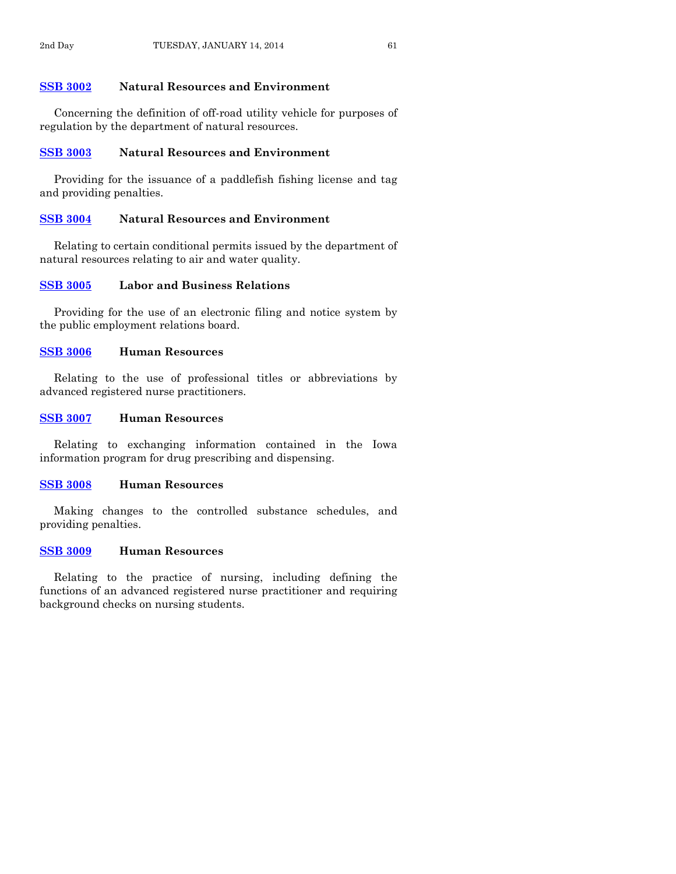## **[SSB 3002](http://coolice.legis.iowa.gov/Cool-ICE/default.asp?Category=billinfo&Service=Billbook&frame=1&GA=85&hbill=SSB3002) Natural Resources and Environment**

Concerning the definition of off-road utility vehicle for purposes of regulation by the department of natural resources.

# **[SSB 3003](http://coolice.legis.iowa.gov/Cool-ICE/default.asp?Category=billinfo&Service=Billbook&frame=1&GA=85&hbill=SSB3003) Natural Resources and Environment**

Providing for the issuance of a paddlefish fishing license and tag and providing penalties.

# **[SSB 3004](http://coolice.legis.iowa.gov/Cool-ICE/default.asp?Category=billinfo&Service=Billbook&frame=1&GA=85&hbill=SSB3004) Natural Resources and Environment**

Relating to certain conditional permits issued by the department of natural resources relating to air and water quality.

## **[SSB 3005](http://coolice.legis.iowa.gov/Cool-ICE/default.asp?Category=billinfo&Service=Billbook&frame=1&GA=85&hbill=SSB3005) Labor and Business Relations**

Providing for the use of an electronic filing and notice system by the public employment relations board.

# **[SSB 3006](http://coolice.legis.iowa.gov/Cool-ICE/default.asp?Category=billinfo&Service=Billbook&frame=1&GA=85&hbill=SSB3006) Human Resources**

Relating to the use of professional titles or abbreviations by advanced registered nurse practitioners.

# **[SSB 3007](http://coolice.legis.iowa.gov/Cool-ICE/default.asp?Category=billinfo&Service=Billbook&frame=1&GA=85&hbill=SSB3007) Human Resources**

Relating to exchanging information contained in the Iowa information program for drug prescribing and dispensing.

## **[SSB 3008](http://coolice.legis.iowa.gov/Cool-ICE/default.asp?Category=billinfo&Service=Billbook&frame=1&GA=85&hbill=SSB3008) Human Resources**

Making changes to the controlled substance schedules, and providing penalties.

#### **[SSB 3009](http://coolice.legis.iowa.gov/Cool-ICE/default.asp?Category=billinfo&Service=Billbook&frame=1&GA=85&hbill=SSB3009) Human Resources**

Relating to the practice of nursing, including defining the functions of an advanced registered nurse practitioner and requiring background checks on nursing students.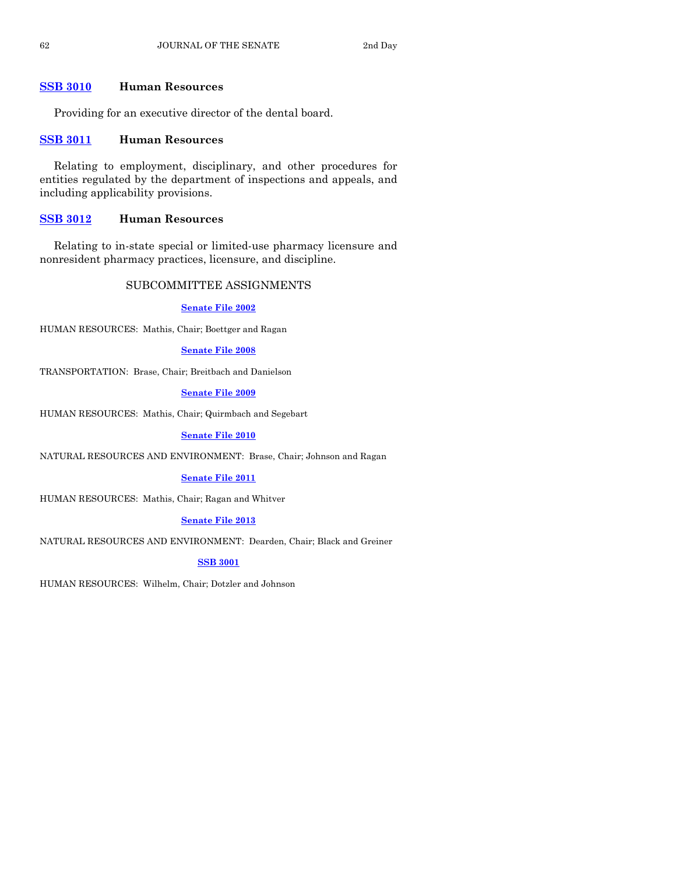# **[SSB 3010](http://coolice.legis.iowa.gov/Cool-ICE/default.asp?Category=billinfo&Service=Billbook&frame=1&GA=85&hbill=SSB3010) Human Resources**

Providing for an executive director of the dental board.

# **[SSB 3011](http://coolice.legis.iowa.gov/Cool-ICE/default.asp?Category=billinfo&Service=Billbook&frame=1&GA=85&hbill=SSB3011) Human Resources**

Relating to employment, disciplinary, and other procedures for entities regulated by the department of inspections and appeals, and including applicability provisions.

# **[SSB 3012](http://coolice.legis.iowa.gov/Cool-ICE/default.asp?Category=billinfo&Service=Billbook&frame=1&GA=85&hbill=SSB3012) Human Resources**

Relating to in-state special or limited-use pharmacy licensure and nonresident pharmacy practices, licensure, and discipline.

# SUBCOMMITTEE ASSIGNMENTS

#### **[Senate File 2002](http://coolice.legis.iowa.gov/Cool-ICE/default.asp?Category=billinfo&Service=Billbook&frame=1&GA=85&hbill=SF2002)**

HUMAN RESOURCES: Mathis, Chair; Boettger and Ragan

#### **[Senate File 2008](http://coolice.legis.iowa.gov/Cool-ICE/default.asp?Category=billinfo&Service=Billbook&frame=1&GA=85&hbill=SF2008)**

TRANSPORTATION: Brase, Chair; Breitbach and Danielson

**[Senate File 2009](http://coolice.legis.iowa.gov/Cool-ICE/default.asp?Category=billinfo&Service=Billbook&frame=1&GA=85&hbill=SF2009)**

HUMAN RESOURCES: Mathis, Chair; Quirmbach and Segebart

#### **[Senate File 2010](http://coolice.legis.iowa.gov/Cool-ICE/default.asp?Category=billinfo&Service=Billbook&frame=1&GA=85&hbill=SF2010)**

NATURAL RESOURCES AND ENVIRONMENT: Brase, Chair; Johnson and Ragan

## **[Senate File 2011](http://coolice.legis.iowa.gov/Cool-ICE/default.asp?Category=billinfo&Service=Billbook&frame=1&GA=85&hbill=SF2011)**

HUMAN RESOURCES: Mathis, Chair; Ragan and Whitver

## **[Senate File 2013](http://coolice.legis.iowa.gov/Cool-ICE/default.asp?Category=billinfo&Service=Billbook&frame=1&GA=85&hbill=SF2013)**

NATURAL RESOURCES AND ENVIRONMENT: Dearden, Chair; Black and Greiner

# **[SSB 3001](http://coolice.legis.iowa.gov/Cool-ICE/default.asp?Category=billinfo&Service=Billbook&frame=1&GA=85&hbill=SSB3001)**

HUMAN RESOURCES: Wilhelm, Chair; Dotzler and Johnson